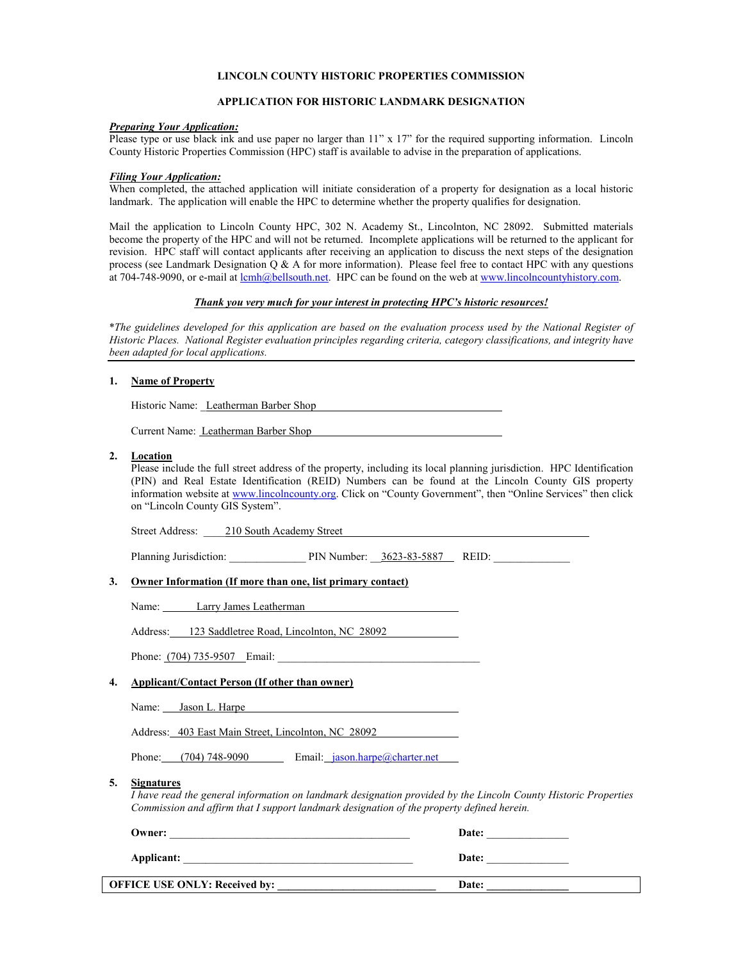#### **LINCOLN COUNTY HISTORIC PROPERTIES COMMISSION**

#### **APPLICATION FOR HISTORIC LANDMARK DESIGNATION**

#### *Preparing Your Application:*

Please type or use black ink and use paper no larger than 11" x 17" for the required supporting information. Lincoln County Historic Properties Commission (HPC) staff is available to advise in the preparation of applications.

## *Filing Your Application:*

When completed, the attached application will initiate consideration of a property for designation as a local historic landmark. The application will enable the HPC to determine whether the property qualifies for designation.

Mail the application to Lincoln County HPC, 302 N. Academy St., Lincolnton, NC 28092. Submitted materials become the property of the HPC and will not be returned. Incomplete applications will be returned to the applicant for revision. HPC staff will contact applicants after receiving an application to discuss the next steps of the designation process (see Landmark Designation  $Q \& A$  for more information). Please feel free to contact HPC with any questions at 704-748-9090, or e-mail at lcmh@bellsouth.net. HPC can be found on the web at www.lincolncountyhistory.com.

## *Thank you very much for your interest in protecting HPC's historic resources!*

\*The guidelines developed for this application are based on the evaluation process used by the National Register of *Historic Places. National Register evaluation principles regarding criteria, category classifications, and integrity have been adapted for local applications.* 

## **1. ame of Property**

Historic Name: Leatherman Barber Shop

Current Name: Leatherman Barber Shop

## **2. Location**

Please include the full street address of the property, including its local planning jurisdiction. HPC Identification (PIN) and Real Estate Identification (REID) Numbers can be found at the Lincoln County GIS property information website at www.lincolncounty.org. Click on "County Government", then "Online Services" then click on "Lincoln County GIS System".

Street Address: 210 South Academy Street

Planning Jurisdiction: <br>
PIN Number:  $3623-83-5887$  REID:

## **3. Owner Information (If more than one, list primary contact)**

Name: **Larry James Leatherman** 

Address: 123 Saddletree Road, Lincolnton, NC 28092

Phone: (704) 735-9507 Email:

## **4. Applicant/Contact Person (If other than owner)**

Name: *Jason L. Harpe* 

Address: 403 East Main Street, Lincolnton, NC 28092

Phone: (704) 748-9090 Email: jason.harpe@charter.net

## **5. Signatures**

*I have read the general information on landmark designation provided by the Lincoln County Historic Properties Commission and affirm that I support landmark designation of the property defined herein.* 

| Owner:                               | Date: |
|--------------------------------------|-------|
| Applicant:                           | Date: |
| <b>OFFICE USE ONLY: Received by:</b> | Date: |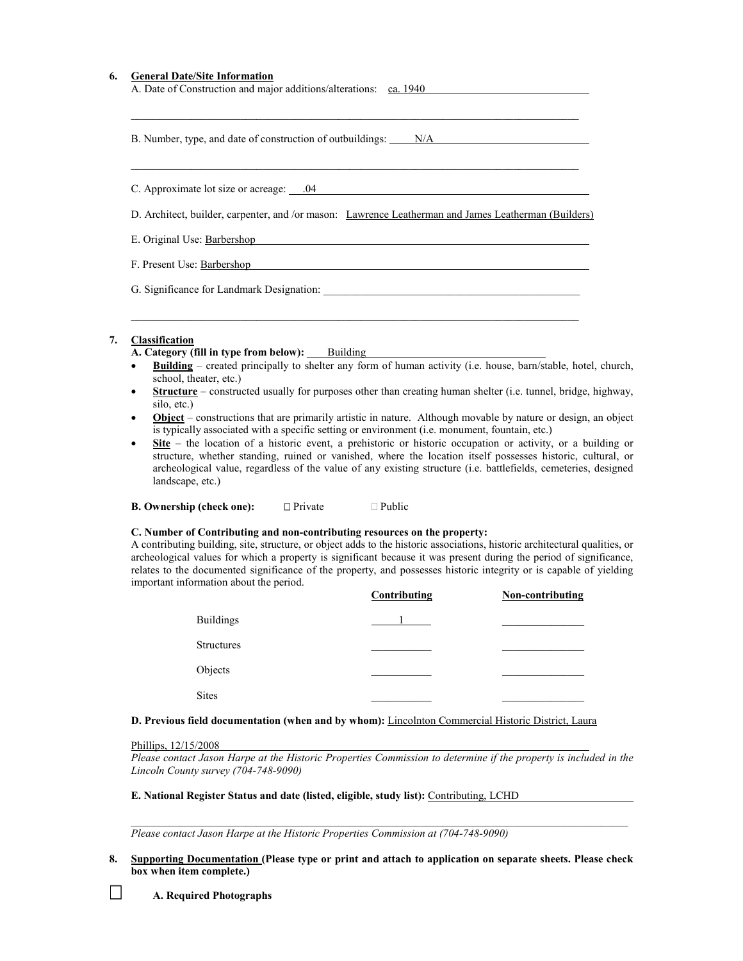## **6. General Date/Site Information**

| A. Date of Construction and major additions/alterations: ca. 1940                                    |  |
|------------------------------------------------------------------------------------------------------|--|
| B. Number, type, and date of construction of outbuildings: N/A                                       |  |
| C. Approximate lot size or acreage: $.04$                                                            |  |
| D. Architect, builder, carpenter, and /or mason: Lawrence Leatherman and James Leatherman (Builders) |  |
| E. Original Use: Barbershop                                                                          |  |
| F. Present Use: Barbershop                                                                           |  |
|                                                                                                      |  |
|                                                                                                      |  |
|                                                                                                      |  |

## **7. Classification**

#### **A. Category (fill in type from below):** Building

- **Building** created principally to shelter any form of human activity (i.e. house, barn/stable, hotel, church, school, theater, etc.)
- **Structure** constructed usually for purposes other than creating human shelter (i.e. tunnel, bridge, highway, silo, etc.)
- **Object** constructions that are primarily artistic in nature. Although movable by nature or design, an object is typically associated with a specific setting or environment (i.e. monument, fountain, etc.)
- **Site** the location of a historic event, a prehistoric or historic occupation or activity, or a building or structure, whether standing, ruined or vanished, where the location itself possesses historic, cultural, or archeological value, regardless of the value of any existing structure (i.e. battlefields, cemeteries, designed landscape, etc.)

**B. Ownership (check one):** -Private Public

#### **C. umber of Contributing and non-contributing resources on the property:**

A contributing building, site, structure, or object adds to the historic associations, historic architectural qualities, or archeological values for which a property is significant because it was present during the period of significance, relates to the documented significance of the property, and possesses historic integrity or is capable of yielding important information about the period.

|                   | <b>Contributing</b> | <b>Non-contributing</b> |
|-------------------|---------------------|-------------------------|
| <b>Buildings</b>  |                     |                         |
| <b>Structures</b> |                     |                         |
| Objects           |                     |                         |
| <b>Sites</b>      |                     |                         |

**D. Previous field documentation (when and by whom):** Lincolnton Commercial Historic District, Laura

#### Phillips, 12/15/2008

*Please contact Jason Harpe at the Historic Properties Commission to determine if the property is included in the Lincoln County survey (704-748-9090)* 

 $\mathcal{L}_\mathcal{L} = \{ \mathcal{L}_\mathcal{L} = \{ \mathcal{L}_\mathcal{L} = \{ \mathcal{L}_\mathcal{L} = \{ \mathcal{L}_\mathcal{L} = \{ \mathcal{L}_\mathcal{L} = \{ \mathcal{L}_\mathcal{L} = \{ \mathcal{L}_\mathcal{L} = \{ \mathcal{L}_\mathcal{L} = \{ \mathcal{L}_\mathcal{L} = \{ \mathcal{L}_\mathcal{L} = \{ \mathcal{L}_\mathcal{L} = \{ \mathcal{L}_\mathcal{L} = \{ \mathcal{L}_\mathcal{L} = \{ \mathcal{L}_\mathcal{$ 

**E. ational Register Status and date (listed, eligible, study list):** Contributing, LCHD

*Please contact Jason Harpe at the Historic Properties Commission at (704-748-9090)* 

**8. Supporting Documentation (Please type or print and attach to application on separate sheets. Please check box when item complete.)** 

#### **A. Required Photographs**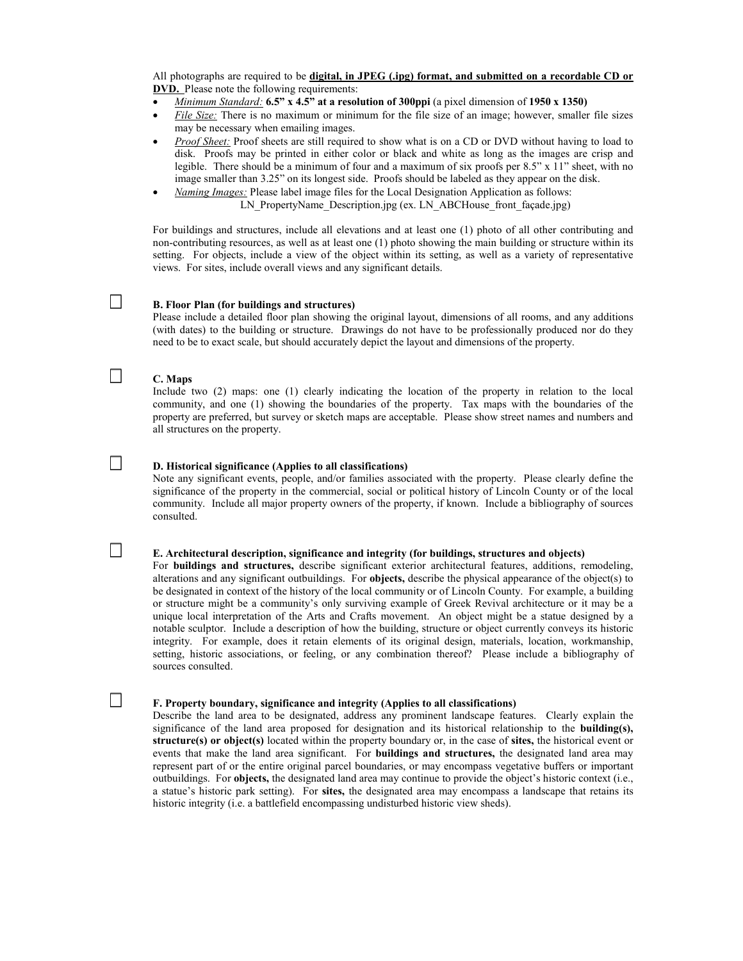All photographs are required to be **digital, in JPEG (.ipg) format, and submitted on a recordable CD or DVD.** Please note the following requirements:

- *Minimum Standard:* **6.5" x 4.5" at a resolution of 300ppi** (a pixel dimension of **1950 x 1350)**
- *File Size:* There is no maximum or minimum for the file size of an image; however, smaller file sizes may be necessary when emailing images.
- *Proof Sheet:* Proof sheets are still required to show what is on a CD or DVD without having to load to disk. Proofs may be printed in either color or black and white as long as the images are crisp and legible. There should be a minimum of four and a maximum of six proofs per 8.5" x 11" sheet, with no image smaller than 3.25" on its longest side. Proofs should be labeled as they appear on the disk.
- *aming Images:* Please label image files for the Local Designation Application as follows: LN PropertyName\_Description.jpg (ex. LN\_ABCHouse\_front\_façade.jpg)

 For buildings and structures, include all elevations and at least one (1) photo of all other contributing and non-contributing resources, as well as at least one (1) photo showing the main building or structure within its setting. For objects, include a view of the object within its setting, as well as a variety of representative views. For sites, include overall views and any significant details.

#### **B. Floor Plan (for buildings and structures)**

Please include a detailed floor plan showing the original layout, dimensions of all rooms, and any additions (with dates) to the building or structure. Drawings do not have to be professionally produced nor do they need to be to exact scale, but should accurately depict the layout and dimensions of the property.

#### **C. Maps**

Include two (2) maps: one (1) clearly indicating the location of the property in relation to the local community, and one (1) showing the boundaries of the property. Tax maps with the boundaries of the property are preferred, but survey or sketch maps are acceptable. Please show street names and numbers and all structures on the property.

#### **D. Historical significance (Applies to all classifications)**

Note any significant events, people, and/or families associated with the property. Please clearly define the significance of the property in the commercial, social or political history of Lincoln County or of the local community. Include all major property owners of the property, if known. Include a bibliography of sources consulted.

#### **E. Architectural description, significance and integrity (for buildings, structures and objects)**

For **buildings and structures,** describe significant exterior architectural features, additions, remodeling, alterations and any significant outbuildings. For **objects,** describe the physical appearance of the object(s) to be designated in context of the history of the local community or of Lincoln County. For example, a building or structure might be a community's only surviving example of Greek Revival architecture or it may be a unique local interpretation of the Arts and Crafts movement. An object might be a statue designed by a notable sculptor. Include a description of how the building, structure or object currently conveys its historic integrity. For example, does it retain elements of its original design, materials, location, workmanship, setting, historic associations, or feeling, or any combination thereof? Please include a bibliography of sources consulted.

#### **F. Property boundary, significance and integrity (Applies to all classifications)**

Describe the land area to be designated, address any prominent landscape features. Clearly explain the significance of the land area proposed for designation and its historical relationship to the **building(s), structure(s) or object(s)** located within the property boundary or, in the case of **sites,** the historical event or events that make the land area significant. For **buildings and structures,** the designated land area may represent part of or the entire original parcel boundaries, or may encompass vegetative buffers or important outbuildings. For **objects,** the designated land area may continue to provide the object's historic context (i.e., a statue's historic park setting). For **sites,** the designated area may encompass a landscape that retains its historic integrity (i.e. a battlefield encompassing undisturbed historic view sheds).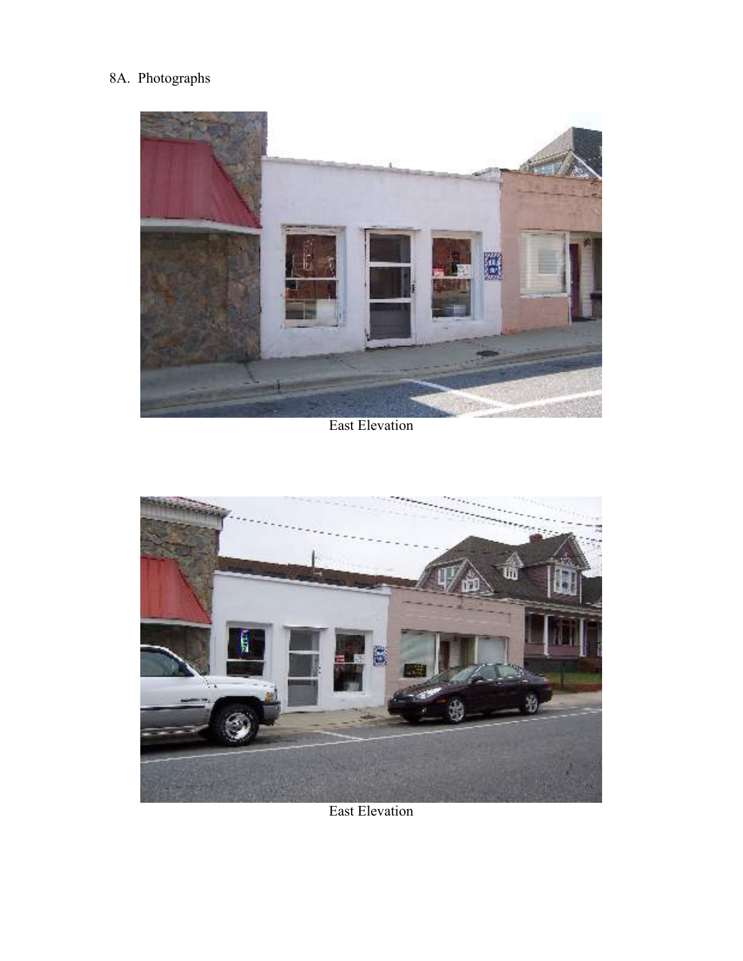# 8A. Photographs



East Elevation



East Elevation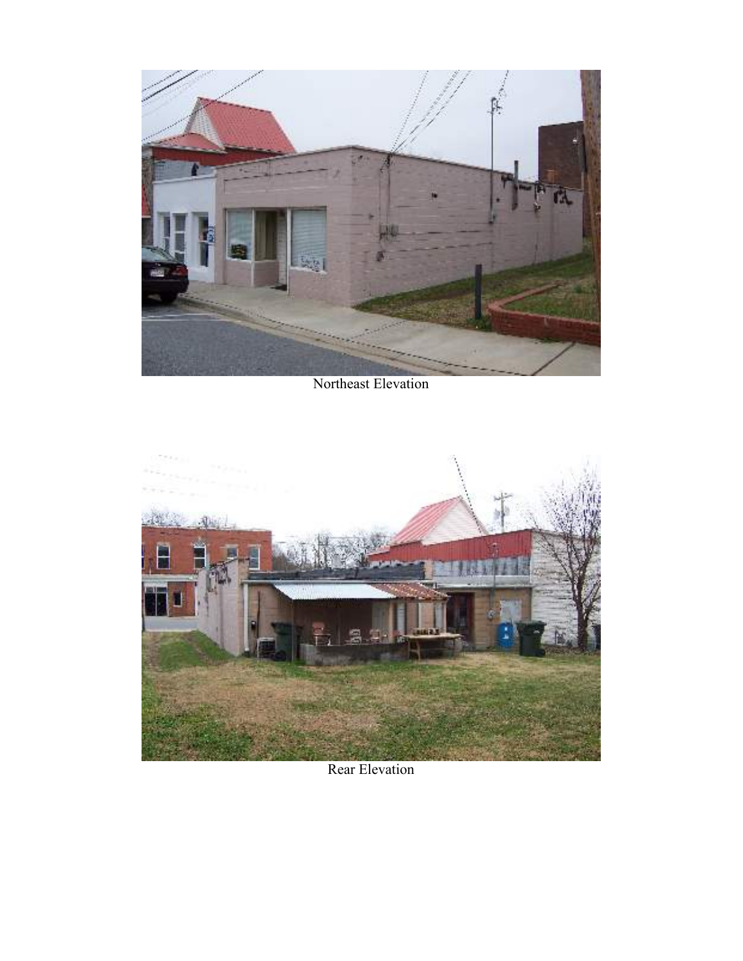

Northeast Elevation



Rear Elevation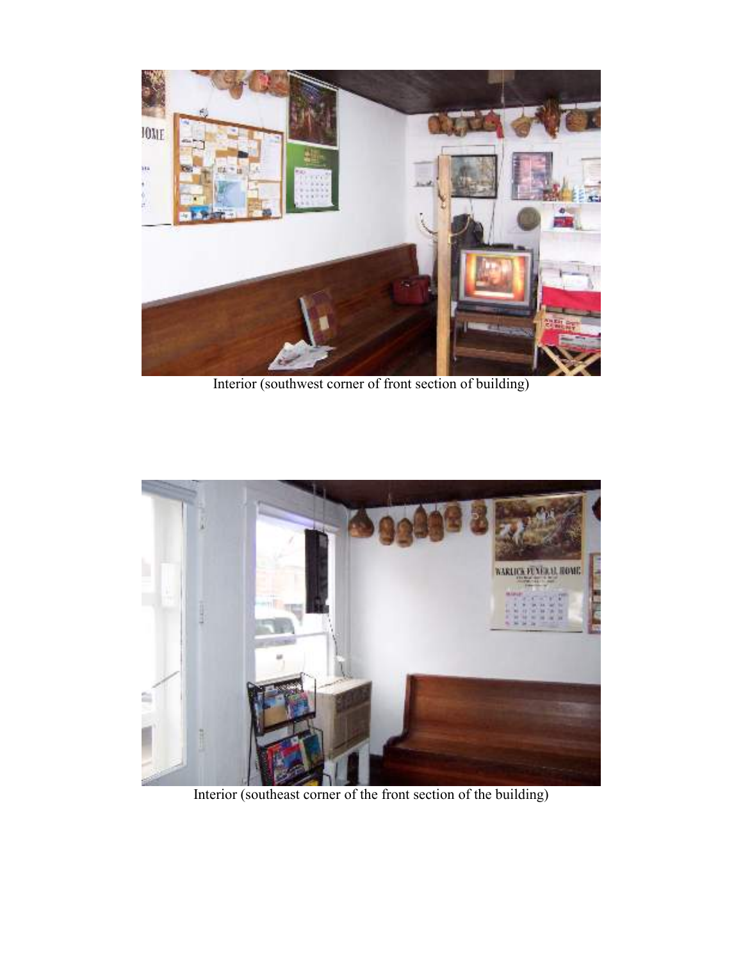

Interior (southwest corner of front section of building)



Interior (southeast corner of the front section of the building)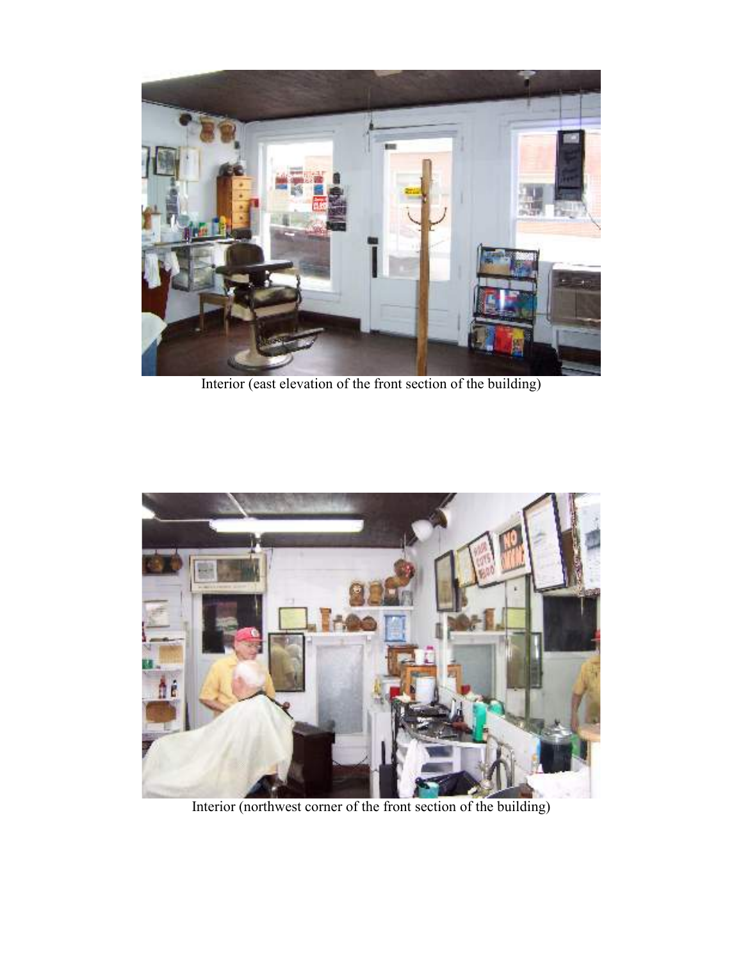

Interior (east elevation of the front section of the building)



Interior (northwest corner of the front section of the building)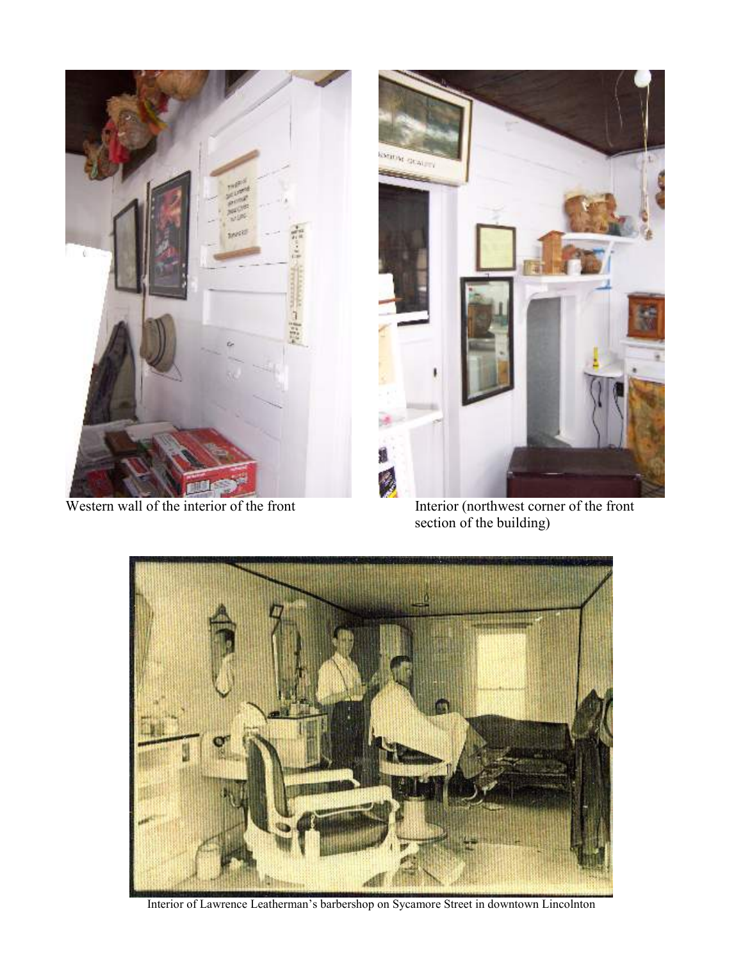

Western wall of the interior of the front Interior (northwest corner of the front



section of the building)



Interior of Lawrence Leatherman's barbershop on Sycamore Street in downtown Lincolnton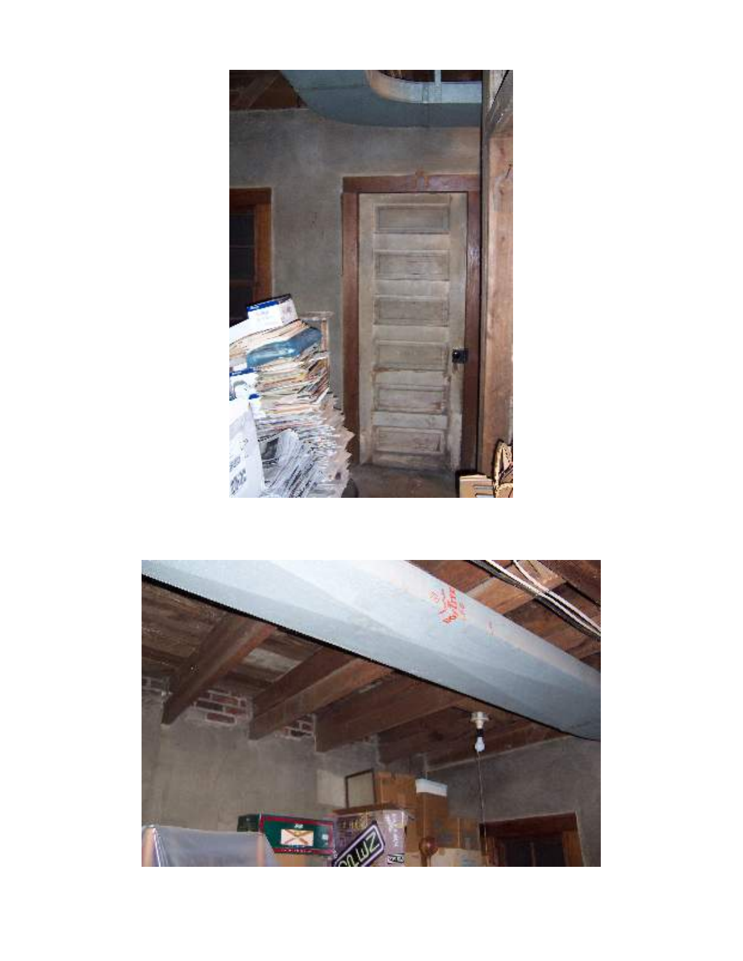

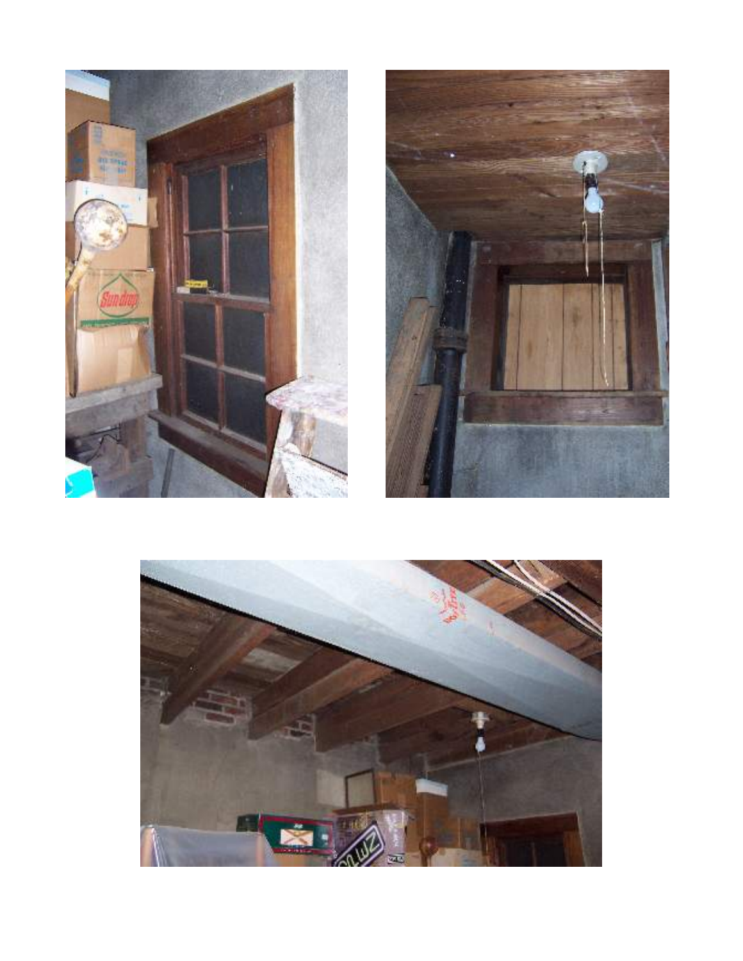



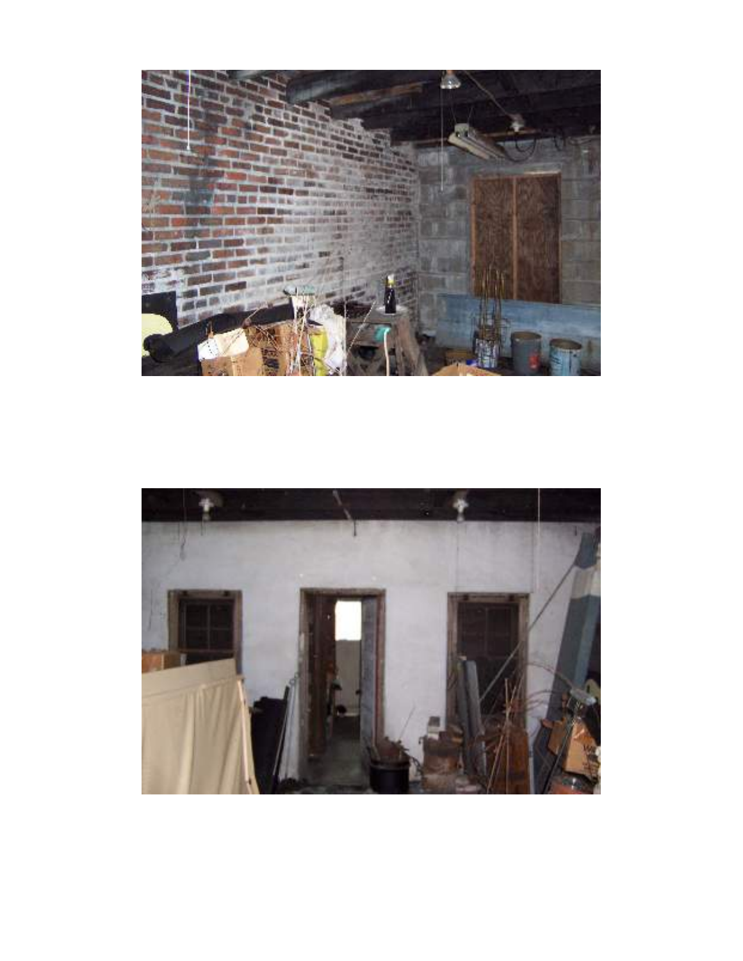

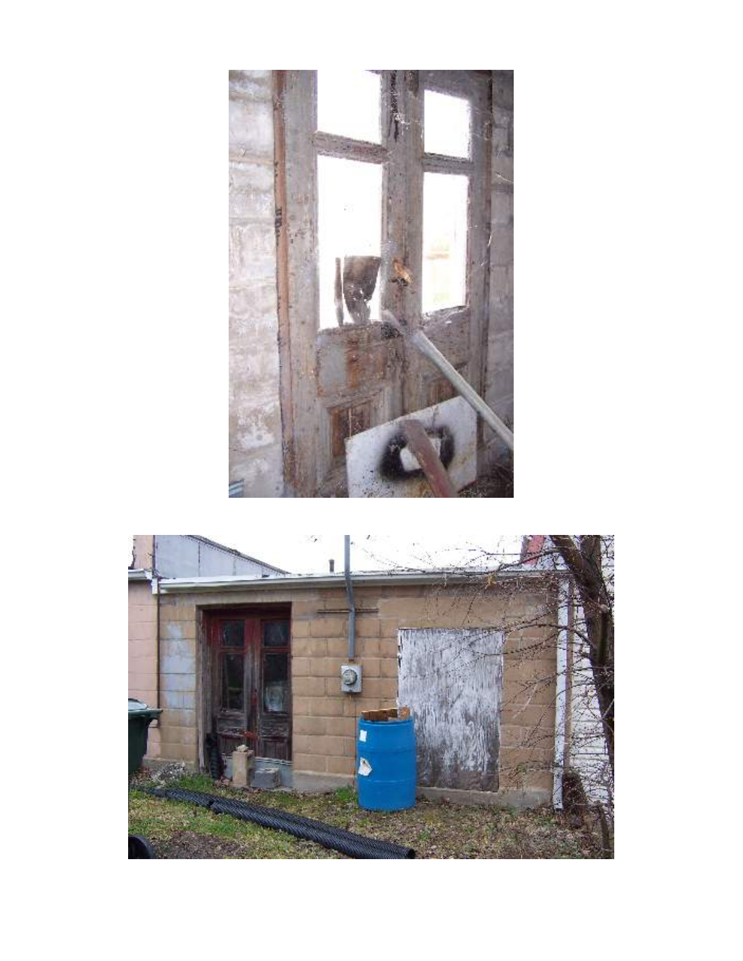

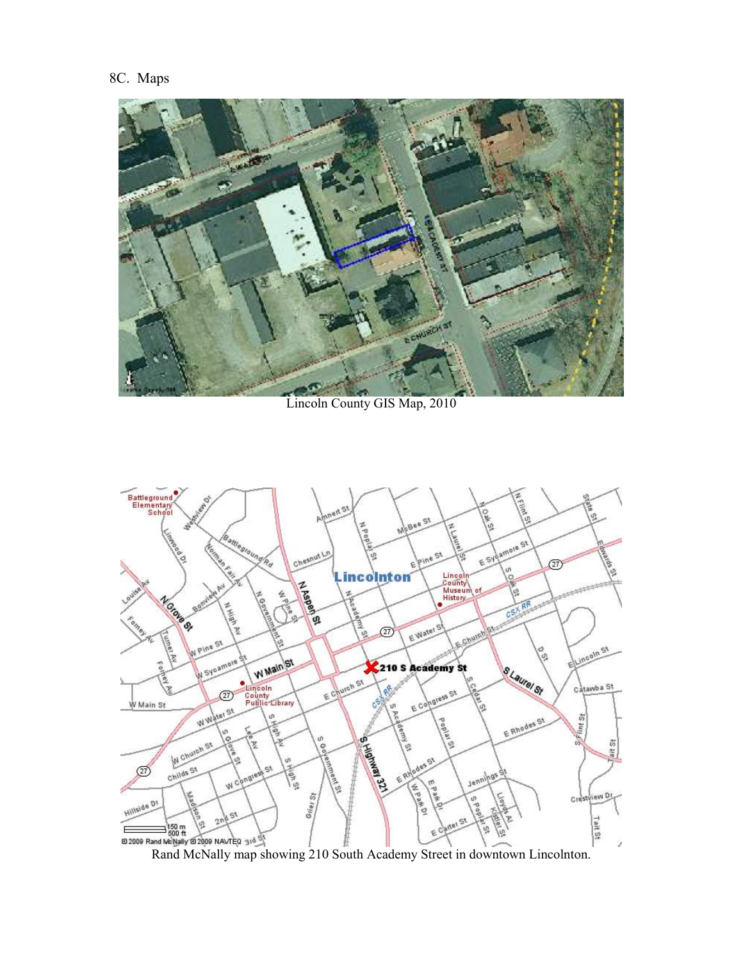

Lincoln County GIS Map, 2010

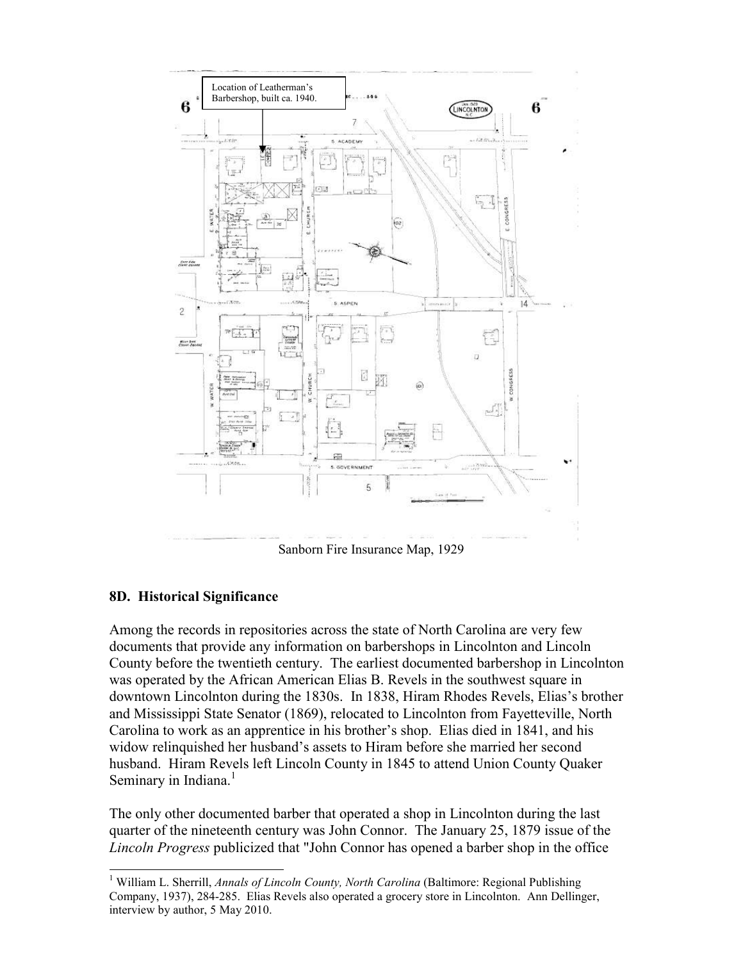

## **8D. Historical Significance**

Among the records in repositories across the state of North Carolina are very few documents that provide any information on barbershops in Lincolnton and Lincoln County before the twentieth century. The earliest documented barbershop in Lincolnton was operated by the African American Elias B. Revels in the southwest square in downtown Lincolnton during the 1830s. In 1838, Hiram Rhodes Revels, Elias's brother and Mississippi State Senator (1869), relocated to Lincolnton from Fayetteville, North Carolina to work as an apprentice in his brother's shop. Elias died in 1841, and his widow relinquished her husband's assets to Hiram before she married her second husband. Hiram Revels left Lincoln County in 1845 to attend Union County Quaker Seminary in Indiana.<sup>1</sup>

The only other documented barber that operated a shop in Lincolnton during the last quarter of the nineteenth century was John Connor. The January 25, 1879 issue of the *Lincoln Progress* publicized that "John Connor has opened a barber shop in the office

<sup>&</sup>lt;sup>1</sup> William L. Sherrill, *Annals of Lincoln County, North Carolina* (Baltimore: Regional Publishing Company, 1937), 284-285. Elias Revels also operated a grocery store in Lincolnton. Ann Dellinger, interview by author, 5 May 2010.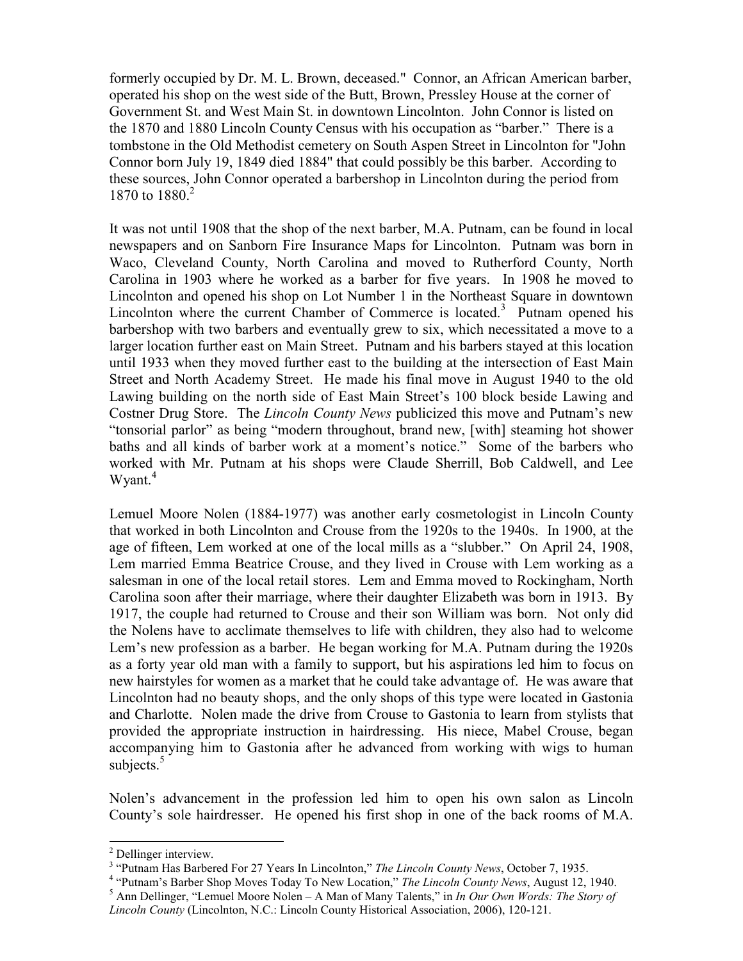formerly occupied by Dr. M. L. Brown, deceased." Connor, an African American barber, operated his shop on the west side of the Butt, Brown, Pressley House at the corner of Government St. and West Main St. in downtown Lincolnton. John Connor is listed on the 1870 and 1880 Lincoln County Census with his occupation as "barber." There is a tombstone in the Old Methodist cemetery on South Aspen Street in Lincolnton for "John Connor born July 19, 1849 died 1884" that could possibly be this barber. According to these sources, John Connor operated a barbershop in Lincolnton during the period from 1870 to 1880.<sup>2</sup>

It was not until 1908 that the shop of the next barber, M.A. Putnam, can be found in local newspapers and on Sanborn Fire Insurance Maps for Lincolnton. Putnam was born in Waco, Cleveland County, North Carolina and moved to Rutherford County, North Carolina in 1903 where he worked as a barber for five years. In 1908 he moved to Lincolnton and opened his shop on Lot Number 1 in the Northeast Square in downtown Lincolnton where the current Chamber of Commerce is located.<sup>3</sup> Putnam opened his barbershop with two barbers and eventually grew to six, which necessitated a move to a larger location further east on Main Street. Putnam and his barbers stayed at this location until 1933 when they moved further east to the building at the intersection of East Main Street and North Academy Street. He made his final move in August 1940 to the old Lawing building on the north side of East Main Street's 100 block beside Lawing and Costner Drug Store. The *Lincoln County News* publicized this move and Putnam's new "tonsorial parlor" as being "modern throughout, brand new, [with] steaming hot shower baths and all kinds of barber work at a moment's notice." Some of the barbers who worked with Mr. Putnam at his shops were Claude Sherrill, Bob Caldwell, and Lee Wyant.<sup>4</sup>

Lemuel Moore Nolen (1884-1977) was another early cosmetologist in Lincoln County that worked in both Lincolnton and Crouse from the 1920s to the 1940s. In 1900, at the age of fifteen, Lem worked at one of the local mills as a "slubber." On April 24, 1908, Lem married Emma Beatrice Crouse, and they lived in Crouse with Lem working as a salesman in one of the local retail stores. Lem and Emma moved to Rockingham, North Carolina soon after their marriage, where their daughter Elizabeth was born in 1913. By 1917, the couple had returned to Crouse and their son William was born. Not only did the Nolens have to acclimate themselves to life with children, they also had to welcome Lem's new profession as a barber. He began working for M.A. Putnam during the 1920s as a forty year old man with a family to support, but his aspirations led him to focus on new hairstyles for women as a market that he could take advantage of. He was aware that Lincolnton had no beauty shops, and the only shops of this type were located in Gastonia and Charlotte. Nolen made the drive from Crouse to Gastonia to learn from stylists that provided the appropriate instruction in hairdressing. His niece, Mabel Crouse, began accompanying him to Gastonia after he advanced from working with wigs to human subjects. $5$ 

Nolen's advancement in the profession led him to open his own salon as Lincoln County's sole hairdresser. He opened his first shop in one of the back rooms of M.A.

<sup>&</sup>lt;sup>2</sup> Dellinger interview.

<sup>&</sup>lt;sup>3</sup> "Putnam Has Barbered For 27 Years In Lincolnton," *The Lincoln County News*, October 7, 1935.

<sup>&</sup>lt;sup>4</sup> "Putnam's Barber Shop Moves Today To New Location," The Lincoln County News, August 12, 1940.

<sup>5</sup> Ann Dellinger, "Lemuel Moore Nolen – A Man of Many Talents," in *In Our Own Words: The Story of Lincoln County* (Lincolnton, N.C.: Lincoln County Historical Association, 2006), 120-121.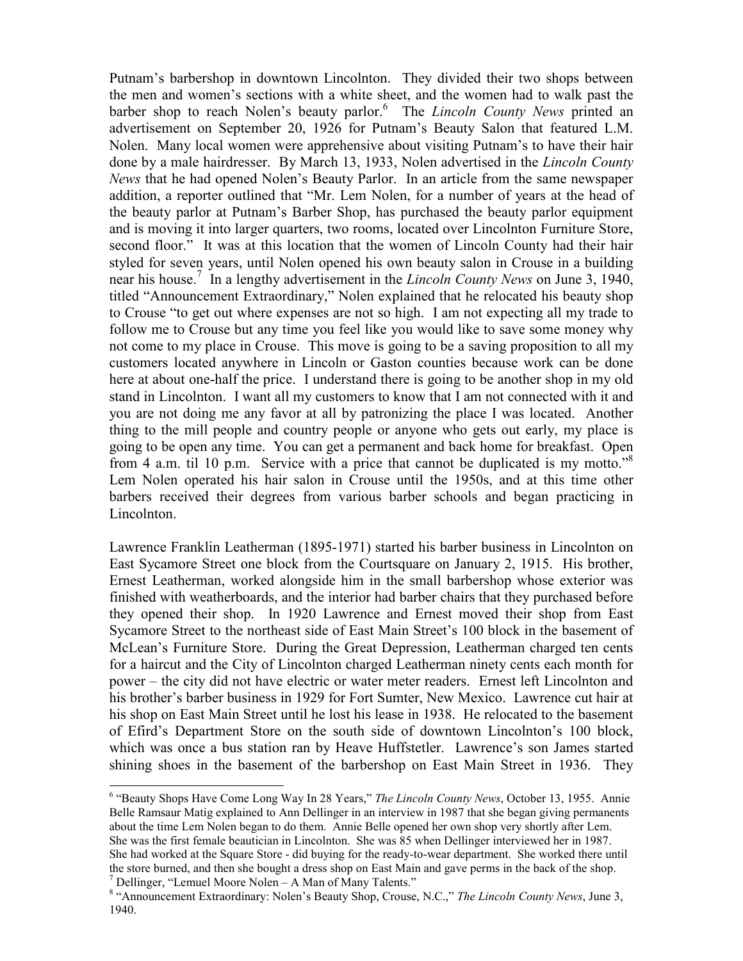Putnam's barbershop in downtown Lincolnton. They divided their two shops between the men and women's sections with a white sheet, and the women had to walk past the barber shop to reach Nolen's beauty parlor.<sup>6</sup> The *Lincoln County News* printed an advertisement on September 20, 1926 for Putnam's Beauty Salon that featured L.M. Nolen. Many local women were apprehensive about visiting Putnam's to have their hair done by a male hairdresser. By March 13, 1933, Nolen advertised in the *Lincoln County News* that he had opened Nolen's Beauty Parlor. In an article from the same newspaper addition, a reporter outlined that "Mr. Lem Nolen, for a number of years at the head of the beauty parlor at Putnam's Barber Shop, has purchased the beauty parlor equipment and is moving it into larger quarters, two rooms, located over Lincolnton Furniture Store, second floor." It was at this location that the women of Lincoln County had their hair styled for seven years, until Nolen opened his own beauty salon in Crouse in a building near his house.<sup>7</sup> In a lengthy advertisement in the *Lincoln County News* on June 3, 1940, titled "Announcement Extraordinary," Nolen explained that he relocated his beauty shop to Crouse "to get out where expenses are not so high. I am not expecting all my trade to follow me to Crouse but any time you feel like you would like to save some money why not come to my place in Crouse. This move is going to be a saving proposition to all my customers located anywhere in Lincoln or Gaston counties because work can be done here at about one-half the price. I understand there is going to be another shop in my old stand in Lincolnton. I want all my customers to know that I am not connected with it and you are not doing me any favor at all by patronizing the place I was located. Another thing to the mill people and country people or anyone who gets out early, my place is going to be open any time. You can get a permanent and back home for breakfast. Open from 4 a.m. til 10 p.m. Service with a price that cannot be duplicated is my motto."<sup>8</sup> Lem Nolen operated his hair salon in Crouse until the 1950s, and at this time other barbers received their degrees from various barber schools and began practicing in Lincolnton.

Lawrence Franklin Leatherman (1895-1971) started his barber business in Lincolnton on East Sycamore Street one block from the Courtsquare on January 2, 1915. His brother, Ernest Leatherman, worked alongside him in the small barbershop whose exterior was finished with weatherboards, and the interior had barber chairs that they purchased before they opened their shop. In 1920 Lawrence and Ernest moved their shop from East Sycamore Street to the northeast side of East Main Street's 100 block in the basement of McLean's Furniture Store. During the Great Depression, Leatherman charged ten cents for a haircut and the City of Lincolnton charged Leatherman ninety cents each month for power – the city did not have electric or water meter readers. Ernest left Lincolnton and his brother's barber business in 1929 for Fort Sumter, New Mexico. Lawrence cut hair at his shop on East Main Street until he lost his lease in 1938. He relocated to the basement of Efird's Department Store on the south side of downtown Lincolnton's 100 block, which was once a bus station ran by Heave Huffstetler. Lawrence's son James started shining shoes in the basement of the barbershop on East Main Street in 1936. They

<sup>6</sup> "Beauty Shops Have Come Long Way In 28 Years," The Lincoln County News, October 13, 1955. Annie Belle Ramsaur Matig explained to Ann Dellinger in an interview in 1987 that she began giving permanents about the time Lem Nolen began to do them. Annie Belle opened her own shop very shortly after Lem. She was the first female beautician in Lincolnton. She was 85 when Dellinger interviewed her in 1987. She had worked at the Square Store - did buying for the ready-to-wear department. She worked there until the store burned, and then she bought a dress shop on East Main and gave perms in the back of the shop. <sup>7</sup> Dellinger, "Lemuel Moore Nolen – A Man of Many Talents."

 $\overline{a}$ 

<sup>&</sup>lt;sup>8</sup> "Announcement Extraordinary: Nolen's Beauty Shop, Crouse, N.C.," The Lincoln County News, June 3, 1940.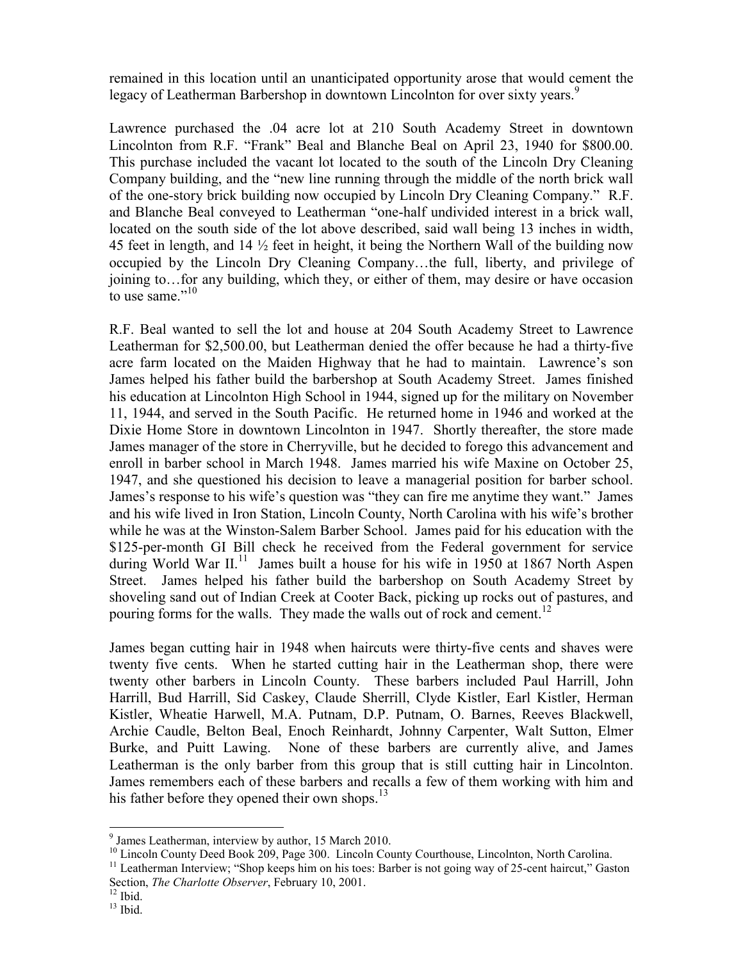remained in this location until an unanticipated opportunity arose that would cement the legacy of Leatherman Barbershop in downtown Lincolnton for over sixty years.<sup>9</sup>

Lawrence purchased the .04 acre lot at 210 South Academy Street in downtown Lincolnton from R.F. "Frank" Beal and Blanche Beal on April 23, 1940 for \$800.00. This purchase included the vacant lot located to the south of the Lincoln Dry Cleaning Company building, and the "new line running through the middle of the north brick wall of the one-story brick building now occupied by Lincoln Dry Cleaning Company." R.F. and Blanche Beal conveyed to Leatherman "one-half undivided interest in a brick wall, located on the south side of the lot above described, said wall being 13 inches in width, 45 feet in length, and 14 ½ feet in height, it being the Northern Wall of the building now occupied by the Lincoln Dry Cleaning Company…the full, liberty, and privilege of joining to…for any building, which they, or either of them, may desire or have occasion to use same." $10$ 

R.F. Beal wanted to sell the lot and house at 204 South Academy Street to Lawrence Leatherman for \$2,500.00, but Leatherman denied the offer because he had a thirty-five acre farm located on the Maiden Highway that he had to maintain. Lawrence's son James helped his father build the barbershop at South Academy Street. James finished his education at Lincolnton High School in 1944, signed up for the military on November 11, 1944, and served in the South Pacific. He returned home in 1946 and worked at the Dixie Home Store in downtown Lincolnton in 1947. Shortly thereafter, the store made James manager of the store in Cherryville, but he decided to forego this advancement and enroll in barber school in March 1948. James married his wife Maxine on October 25, 1947, and she questioned his decision to leave a managerial position for barber school. James's response to his wife's question was "they can fire me anytime they want." James and his wife lived in Iron Station, Lincoln County, North Carolina with his wife's brother while he was at the Winston-Salem Barber School. James paid for his education with the \$125-per-month GI Bill check he received from the Federal government for service during World War II.<sup>11</sup> James built a house for his wife in 1950 at 1867 North Aspen Street. James helped his father build the barbershop on South Academy Street by shoveling sand out of Indian Creek at Cooter Back, picking up rocks out of pastures, and pouring forms for the walls. They made the walls out of rock and cement.<sup>12</sup>

James began cutting hair in 1948 when haircuts were thirty-five cents and shaves were twenty five cents. When he started cutting hair in the Leatherman shop, there were twenty other barbers in Lincoln County. These barbers included Paul Harrill, John Harrill, Bud Harrill, Sid Caskey, Claude Sherrill, Clyde Kistler, Earl Kistler, Herman Kistler, Wheatie Harwell, M.A. Putnam, D.P. Putnam, O. Barnes, Reeves Blackwell, Archie Caudle, Belton Beal, Enoch Reinhardt, Johnny Carpenter, Walt Sutton, Elmer Burke, and Puitt Lawing. None of these barbers are currently alive, and James Leatherman is the only barber from this group that is still cutting hair in Lincolnton. James remembers each of these barbers and recalls a few of them working with him and his father before they opened their own shops.<sup>13</sup>

 9 James Leatherman, interview by author, 15 March 2010.

<sup>&</sup>lt;sup>10</sup> Lincoln County Deed Book 209, Page 300. Lincoln County Courthouse, Lincolnton, North Carolina.

<sup>&</sup>lt;sup>11</sup> Leatherman Interview; "Shop keeps him on his toes: Barber is not going way of 25-cent haircut," Gaston Section, *The Charlotte Observer*, February 10, 2001.

 $12$  Ibid.

 $13$  Ibid.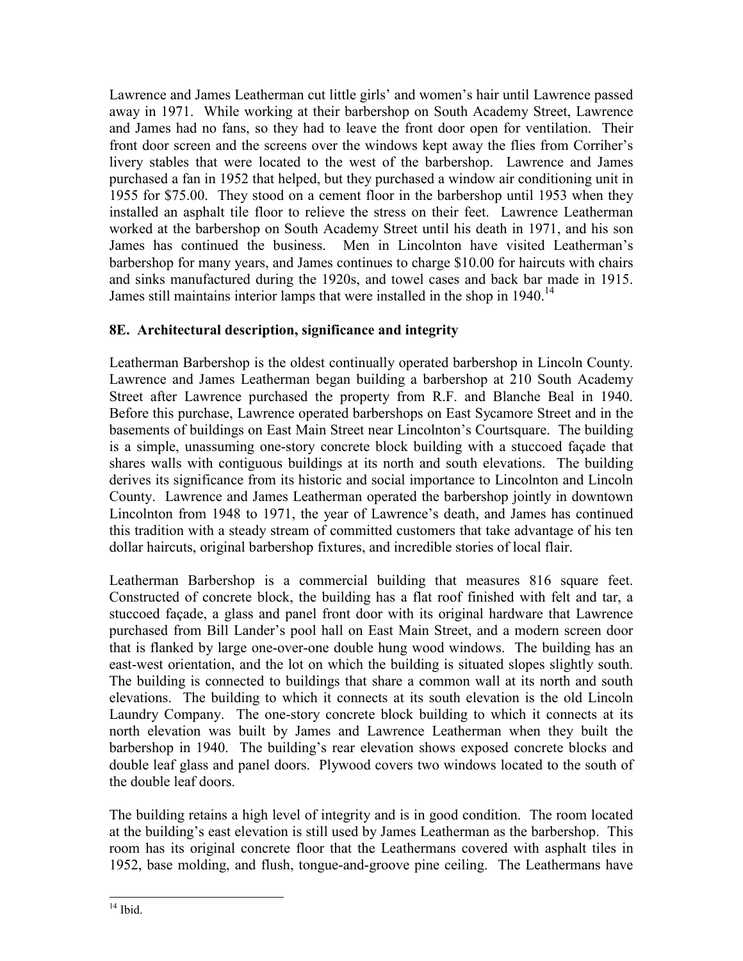Lawrence and James Leatherman cut little girls' and women's hair until Lawrence passed away in 1971. While working at their barbershop on South Academy Street, Lawrence and James had no fans, so they had to leave the front door open for ventilation. Their front door screen and the screens over the windows kept away the flies from Corriher's livery stables that were located to the west of the barbershop. Lawrence and James purchased a fan in 1952 that helped, but they purchased a window air conditioning unit in 1955 for \$75.00. They stood on a cement floor in the barbershop until 1953 when they installed an asphalt tile floor to relieve the stress on their feet. Lawrence Leatherman worked at the barbershop on South Academy Street until his death in 1971, and his son James has continued the business. Men in Lincolnton have visited Leatherman's barbershop for many years, and James continues to charge \$10.00 for haircuts with chairs and sinks manufactured during the 1920s, and towel cases and back bar made in 1915. James still maintains interior lamps that were installed in the shop in 1940.<sup>14</sup>

## **8E. Architectural description, significance and integrity**

Leatherman Barbershop is the oldest continually operated barbershop in Lincoln County. Lawrence and James Leatherman began building a barbershop at 210 South Academy Street after Lawrence purchased the property from R.F. and Blanche Beal in 1940. Before this purchase, Lawrence operated barbershops on East Sycamore Street and in the basements of buildings on East Main Street near Lincolnton's Courtsquare. The building is a simple, unassuming one-story concrete block building with a stuccoed façade that shares walls with contiguous buildings at its north and south elevations. The building derives its significance from its historic and social importance to Lincolnton and Lincoln County. Lawrence and James Leatherman operated the barbershop jointly in downtown Lincolnton from 1948 to 1971, the year of Lawrence's death, and James has continued this tradition with a steady stream of committed customers that take advantage of his ten dollar haircuts, original barbershop fixtures, and incredible stories of local flair.

Leatherman Barbershop is a commercial building that measures 816 square feet. Constructed of concrete block, the building has a flat roof finished with felt and tar, a stuccoed façade, a glass and panel front door with its original hardware that Lawrence purchased from Bill Lander's pool hall on East Main Street, and a modern screen door that is flanked by large one-over-one double hung wood windows. The building has an east-west orientation, and the lot on which the building is situated slopes slightly south. The building is connected to buildings that share a common wall at its north and south elevations. The building to which it connects at its south elevation is the old Lincoln Laundry Company. The one-story concrete block building to which it connects at its north elevation was built by James and Lawrence Leatherman when they built the barbershop in 1940. The building's rear elevation shows exposed concrete blocks and double leaf glass and panel doors. Plywood covers two windows located to the south of the double leaf doors.

The building retains a high level of integrity and is in good condition. The room located at the building's east elevation is still used by James Leatherman as the barbershop. This room has its original concrete floor that the Leathermans covered with asphalt tiles in 1952, base molding, and flush, tongue-and-groove pine ceiling. The Leathermans have

 $\overline{a}$  $14$  Ibid.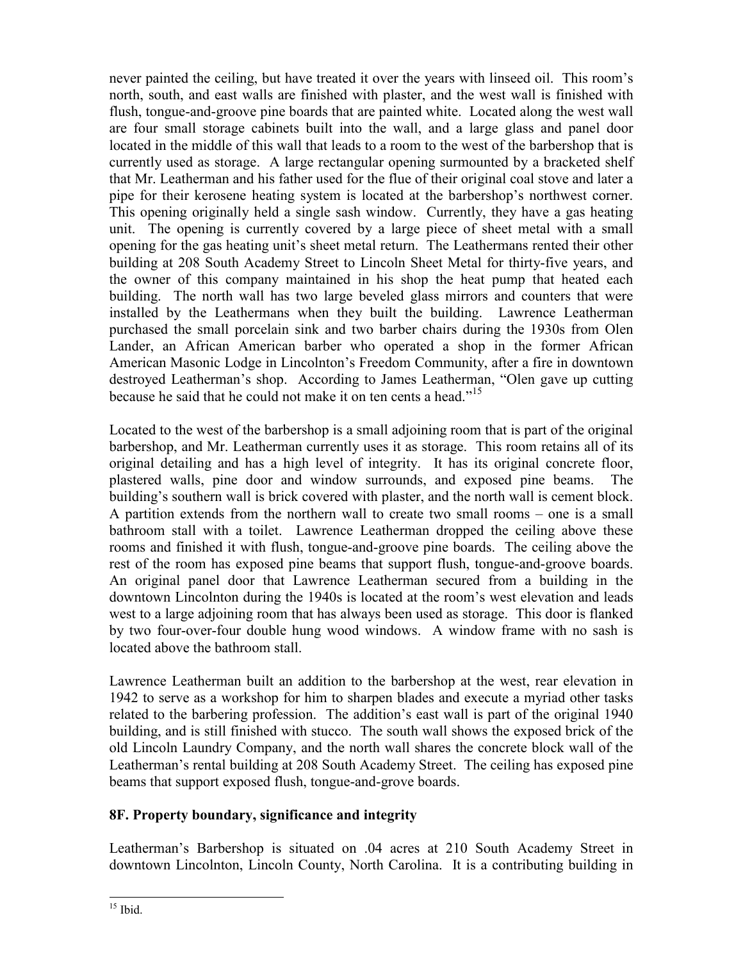never painted the ceiling, but have treated it over the years with linseed oil. This room's north, south, and east walls are finished with plaster, and the west wall is finished with flush, tongue-and-groove pine boards that are painted white. Located along the west wall are four small storage cabinets built into the wall, and a large glass and panel door located in the middle of this wall that leads to a room to the west of the barbershop that is currently used as storage. A large rectangular opening surmounted by a bracketed shelf that Mr. Leatherman and his father used for the flue of their original coal stove and later a pipe for their kerosene heating system is located at the barbershop's northwest corner. This opening originally held a single sash window. Currently, they have a gas heating unit. The opening is currently covered by a large piece of sheet metal with a small opening for the gas heating unit's sheet metal return. The Leathermans rented their other building at 208 South Academy Street to Lincoln Sheet Metal for thirty-five years, and the owner of this company maintained in his shop the heat pump that heated each building. The north wall has two large beveled glass mirrors and counters that were installed by the Leathermans when they built the building. Lawrence Leatherman purchased the small porcelain sink and two barber chairs during the 1930s from Olen Lander, an African American barber who operated a shop in the former African American Masonic Lodge in Lincolnton's Freedom Community, after a fire in downtown destroyed Leatherman's shop. According to James Leatherman, "Olen gave up cutting because he said that he could not make it on ten cents a head."<sup>15</sup>

Located to the west of the barbershop is a small adjoining room that is part of the original barbershop, and Mr. Leatherman currently uses it as storage. This room retains all of its original detailing and has a high level of integrity. It has its original concrete floor, plastered walls, pine door and window surrounds, and exposed pine beams. The building's southern wall is brick covered with plaster, and the north wall is cement block. A partition extends from the northern wall to create two small rooms – one is a small bathroom stall with a toilet. Lawrence Leatherman dropped the ceiling above these rooms and finished it with flush, tongue-and-groove pine boards. The ceiling above the rest of the room has exposed pine beams that support flush, tongue-and-groove boards. An original panel door that Lawrence Leatherman secured from a building in the downtown Lincolnton during the 1940s is located at the room's west elevation and leads west to a large adjoining room that has always been used as storage. This door is flanked by two four-over-four double hung wood windows. A window frame with no sash is located above the bathroom stall.

Lawrence Leatherman built an addition to the barbershop at the west, rear elevation in 1942 to serve as a workshop for him to sharpen blades and execute a myriad other tasks related to the barbering profession. The addition's east wall is part of the original 1940 building, and is still finished with stucco. The south wall shows the exposed brick of the old Lincoln Laundry Company, and the north wall shares the concrete block wall of the Leatherman's rental building at 208 South Academy Street. The ceiling has exposed pine beams that support exposed flush, tongue-and-grove boards.

## **8F. Property boundary, significance and integrity**

Leatherman's Barbershop is situated on .04 acres at 210 South Academy Street in downtown Lincolnton, Lincoln County, North Carolina. It is a contributing building in

 $\overline{a}$  $15$  Ibid.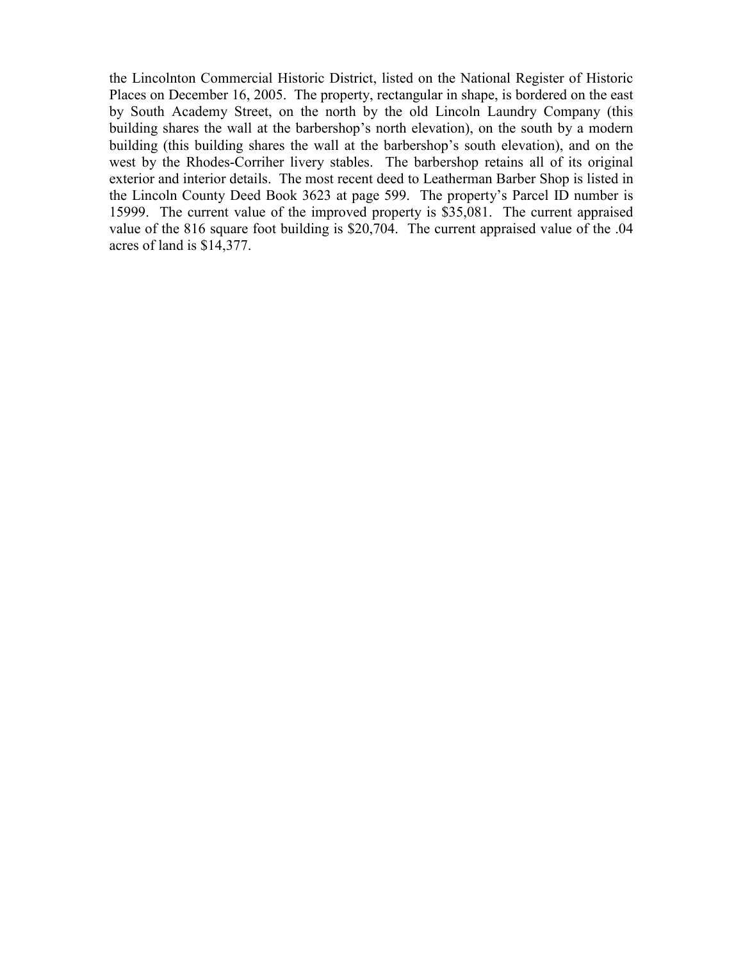the Lincolnton Commercial Historic District, listed on the National Register of Historic Places on December 16, 2005. The property, rectangular in shape, is bordered on the east by South Academy Street, on the north by the old Lincoln Laundry Company (this building shares the wall at the barbershop's north elevation), on the south by a modern building (this building shares the wall at the barbershop's south elevation), and on the west by the Rhodes-Corriher livery stables. The barbershop retains all of its original exterior and interior details. The most recent deed to Leatherman Barber Shop is listed in the Lincoln County Deed Book 3623 at page 599. The property's Parcel ID number is 15999. The current value of the improved property is \$35,081. The current appraised value of the 816 square foot building is \$20,704. The current appraised value of the .04 acres of land is \$14,377.